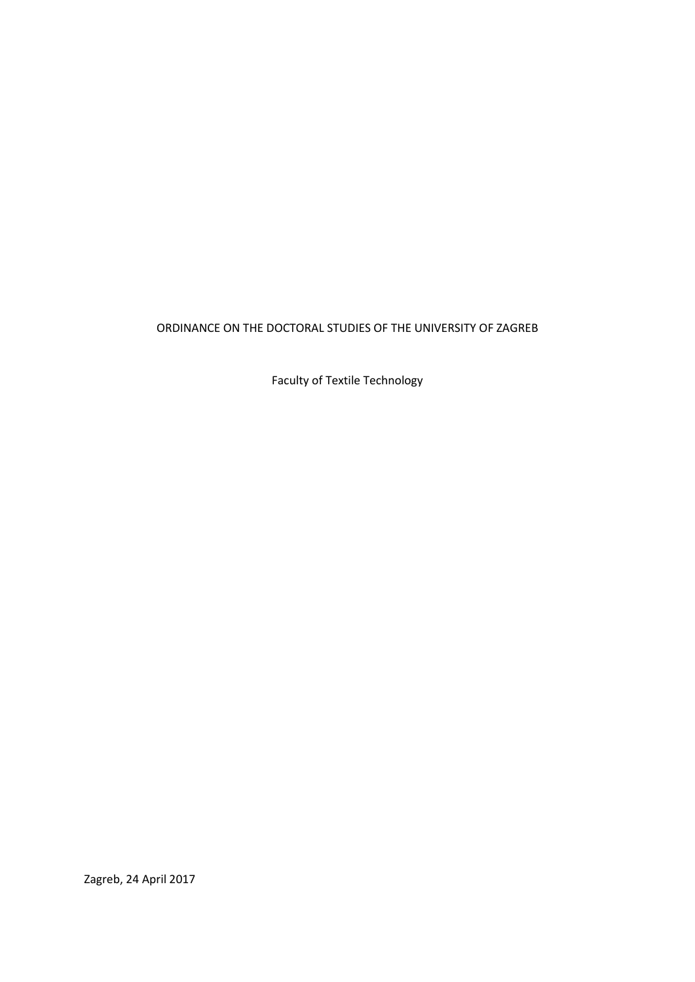# ORDINANCE ON THE DOCTORAL STUDIES OF THE UNIVERSITY OF ZAGREB

Faculty of Textile Technology

Zagreb, 24 April 2017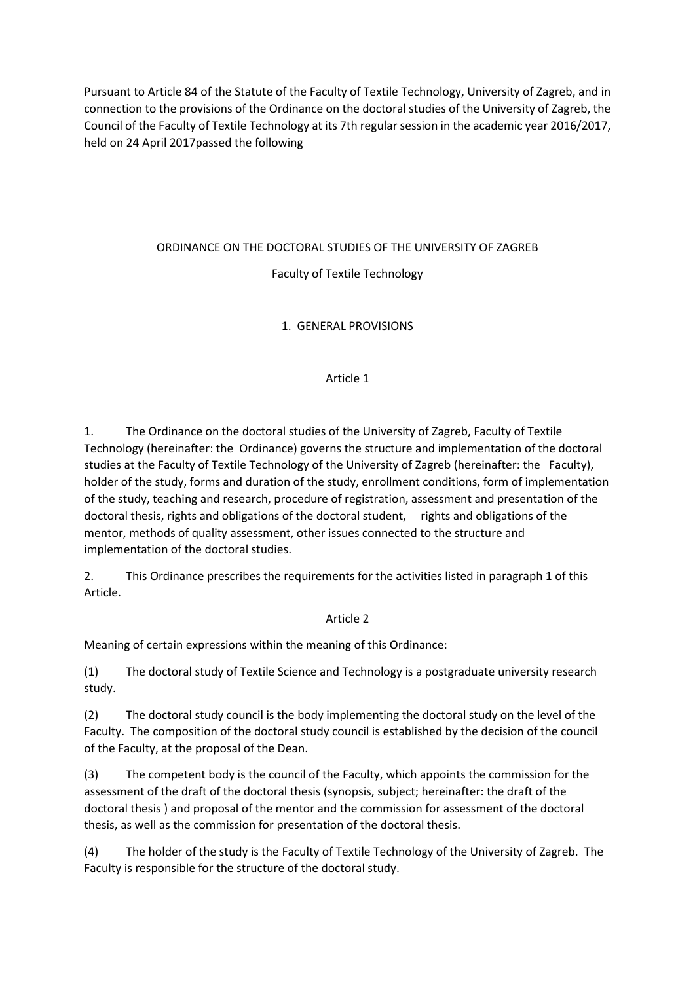Pursuant to Article 84 of the Statute of the Faculty of Textile Technology, University of Zagreb, and in connection to the provisions of the Ordinance on the doctoral studies of the University of Zagreb, the Council of the Faculty of Textile Technology at its 7th regular session in the academic year 2016/2017, held on 24 April 2017passed the following

# ORDINANCE ON THE DOCTORAL STUDIES OF THE UNIVERSITY OF ZAGREB

# Faculty of Textile Technology

# 1. GENERAL PROVISIONS

## Article 1

1. The Ordinance on the doctoral studies of the University of Zagreb, Faculty of Textile Technology (hereinafter: the Ordinance) governs the structure and implementation of the doctoral studies at the Faculty of Textile Technology of the University of Zagreb (hereinafter: the Faculty), holder of the study, forms and duration of the study, enrollment conditions, form of implementation of the study, teaching and research, procedure of registration, assessment and presentation of the doctoral thesis, rights and obligations of the doctoral student, rights and obligations of the mentor, methods of quality assessment, other issues connected to the structure and implementation of the doctoral studies.

2. This Ordinance prescribes the requirements for the activities listed in paragraph 1 of this Article.

## Article 2

Meaning of certain expressions within the meaning of this Ordinance:

(1) The doctoral study of Textile Science and Technology is a postgraduate university research study.

(2) The doctoral study council is the body implementing the doctoral study on the level of the Faculty. The composition of the doctoral study council is established by the decision of the council of the Faculty, at the proposal of the Dean.

(3) The competent body is the council of the Faculty, which appoints the commission for the assessment of the draft of the doctoral thesis (synopsis, subject; hereinafter: the draft of the doctoral thesis ) and proposal of the mentor and the commission for assessment of the doctoral thesis, as well as the commission for presentation of the doctoral thesis.

(4) The holder of the study is the Faculty of Textile Technology of the University of Zagreb. The Faculty is responsible for the structure of the doctoral study.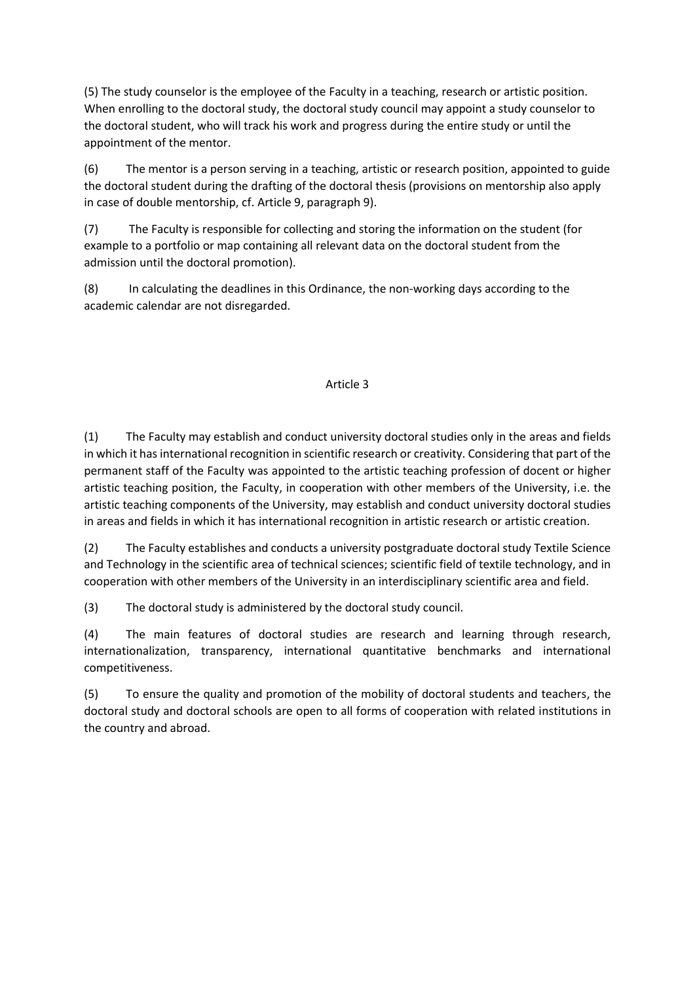(5) The study counselor is the employee of the Faculty in a teaching, research or artistic position. When enrolling to the doctoral study, the doctoral study council may appoint a study counselor to the doctoral student, who will track his work and progress during the entire study or until the appointment of the mentor.

(6) The mentor is a person serving in a teaching, artistic or research position, appointed to guide the doctoral student during the drafting of the doctoral thesis (provisions on mentorship also apply in case of double mentorship, cf. Article 9, paragraph 9).

(7) The Faculty is responsible for collecting and storing the information on the student (for example to a portfolio or map containing all relevant data on the doctoral student from the admission until the doctoral promotion).

(8) In calculating the deadlines in this Ordinance, the non-working days according to the academic calendar are not disregarded.

## Article 3

(1) The Faculty may establish and conduct university doctoral studies only in the areas and fields in which it has international recognition in scientific research or creativity. Considering that part of the permanent staff of the Faculty was appointed to the artistic teaching profession of docent or higher artistic teaching position, the Faculty, in cooperation with other members of the University, i.e. the artistic teaching components of the University, may establish and conduct university doctoral studies in areas and fields in which it has international recognition in artistic research or artistic creation.

(2) The Faculty establishes and conducts a university postgraduate doctoral study Textile Science and Technology in the scientific area of technical sciences; scientific field of textile technology, and in cooperation with other members of the University in an interdisciplinary scientific area and field.

(3) The doctoral study is administered by the doctoral study council.

(4) The main features of doctoral studies are research and learning through research, internationalization, transparency, international quantitative benchmarks and international competitiveness.

(5) To ensure the quality and promotion of the mobility of doctoral students and teachers, the doctoral study and doctoral schools are open to all forms of cooperation with related institutions in the country and abroad.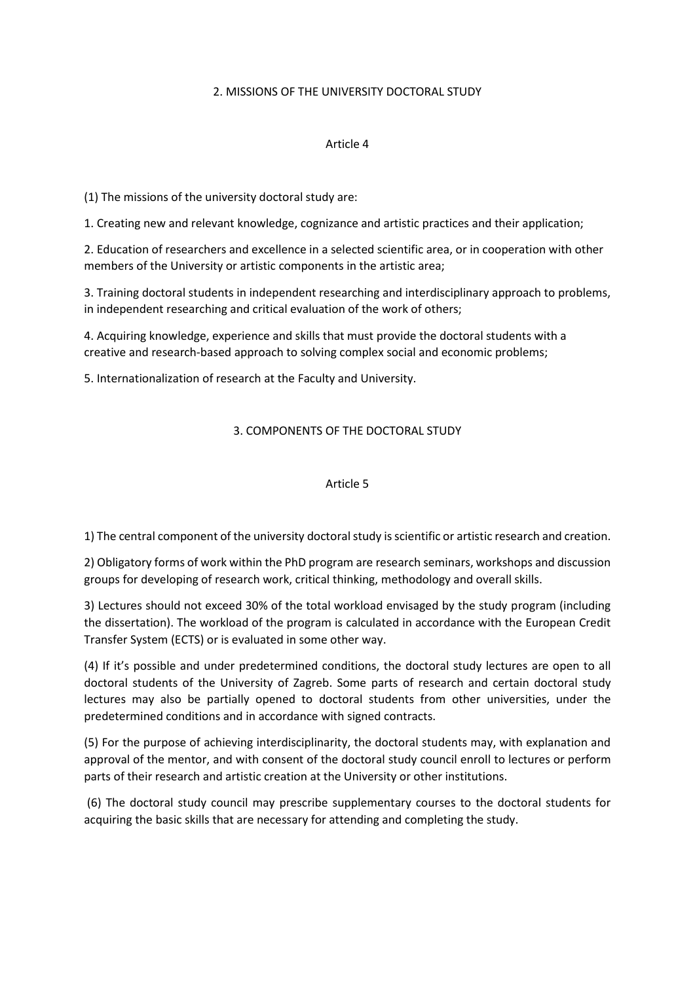#### 2. MISSIONS OF THE UNIVERSITY DOCTORAL STUDY

#### Article 4

(1) The missions of the university doctoral study are:

1. Creating new and relevant knowledge, cognizance and artistic practices and their application;

2. Education of researchers and excellence in a selected scientific area, or in cooperation with other members of the University or artistic components in the artistic area;

3. Training doctoral students in independent researching and interdisciplinary approach to problems, in independent researching and critical evaluation of the work of others;

4. Acquiring knowledge, experience and skills that must provide the doctoral students with a creative and research-based approach to solving complex social and economic problems;

5. Internationalization of research at the Faculty and University.

# 3. COMPONENTS OF THE DOCTORAL STUDY

### Article 5

1) The central component of the university doctoral study is scientific or artistic research and creation.

2) Obligatory forms of work within the PhD program are research seminars, workshops and discussion groups for developing of research work, critical thinking, methodology and overall skills.

3) Lectures should not exceed 30% of the total workload envisaged by the study program (including the dissertation). The workload of the program is calculated in accordance with the European Credit Transfer System (ECTS) or is evaluated in some other way.

(4) If it's possible and under predetermined conditions, the doctoral study lectures are open to all doctoral students of the University of Zagreb. Some parts of research and certain doctoral study lectures may also be partially opened to doctoral students from other universities, under the predetermined conditions and in accordance with signed contracts.

(5) For the purpose of achieving interdisciplinarity, the doctoral students may, with explanation and approval of the mentor, and with consent of the doctoral study council enroll to lectures or perform parts of their research and artistic creation at the University or other institutions.

(6) The doctoral study council may prescribe supplementary courses to the doctoral students for acquiring the basic skills that are necessary for attending and completing the study.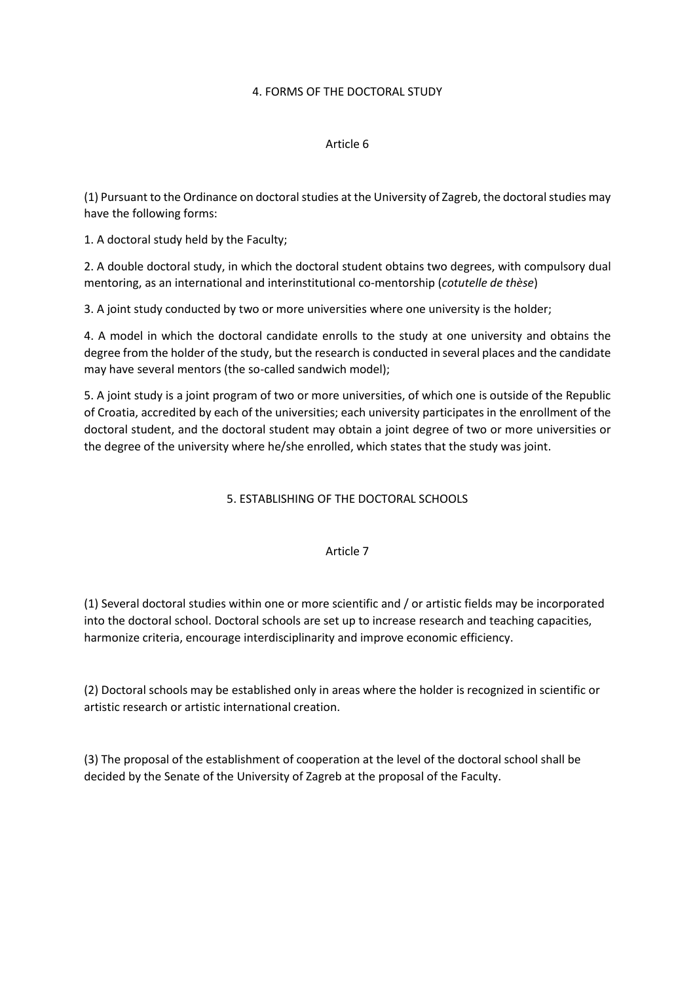### 4. FORMS OF THE DOCTORAL STUDY

### Article 6

(1) Pursuant to the Ordinance on doctoral studies at the University of Zagreb, the doctoral studies may have the following forms:

1. A doctoral study held by the Faculty;

2. A double doctoral study, in which the doctoral student obtains two degrees, with compulsory dual mentoring, as an international and interinstitutional co-mentorship (*cotutelle de thèse*)

3. A joint study conducted by two or more universities where one university is the holder;

4. A model in which the doctoral candidate enrolls to the study at one university and obtains the degree from the holder of the study, but the research is conducted in several places and the candidate may have several mentors (the so-called sandwich model);

5. A joint study is a joint program of two or more universities, of which one is outside of the Republic of Croatia, accredited by each of the universities; each university participates in the enrollment of the doctoral student, and the doctoral student may obtain a joint degree of two or more universities or the degree of the university where he/she enrolled, which states that the study was joint.

## 5. ESTABLISHING OF THE DOCTORAL SCHOOLS

## Article 7

(1) Several doctoral studies within one or more scientific and / or artistic fields may be incorporated into the doctoral school. Doctoral schools are set up to increase research and teaching capacities, harmonize criteria, encourage interdisciplinarity and improve economic efficiency.

(2) Doctoral schools may be established only in areas where the holder is recognized in scientific or artistic research or artistic international creation.

(3) The proposal of the establishment of cooperation at the level of the doctoral school shall be decided by the Senate of the University of Zagreb at the proposal of the Faculty.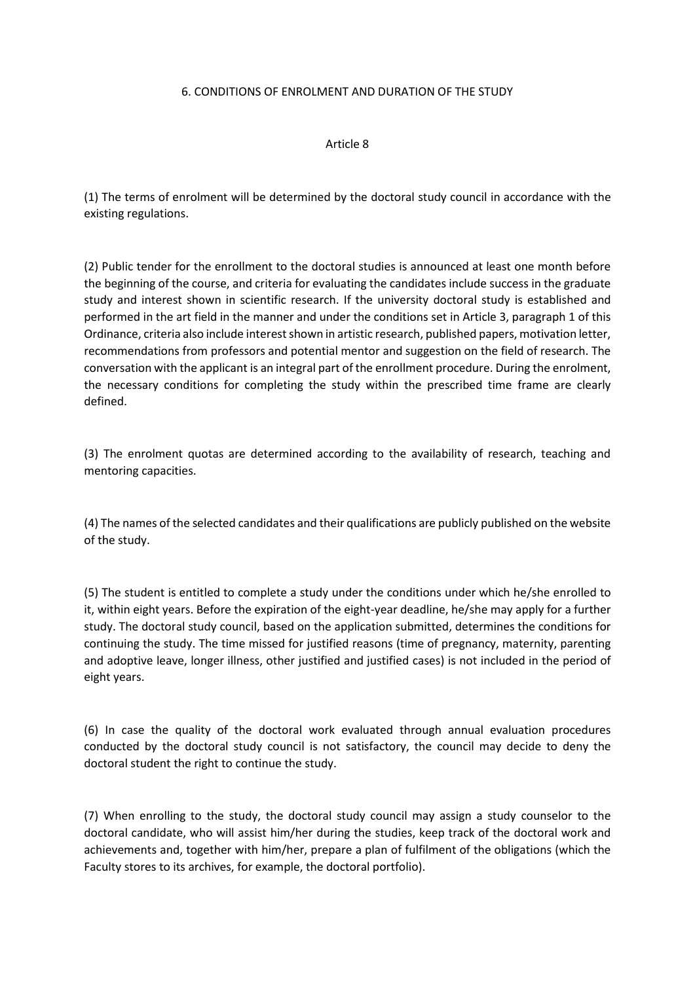#### 6. CONDITIONS OF ENROLMENT AND DURATION OF THE STUDY

#### Article 8

(1) The terms of enrolment will be determined by the doctoral study council in accordance with the existing regulations.

(2) Public tender for the enrollment to the doctoral studies is announced at least one month before the beginning of the course, and criteria for evaluating the candidates include success in the graduate study and interest shown in scientific research. If the university doctoral study is established and performed in the art field in the manner and under the conditions set in Article 3, paragraph 1 of this Ordinance, criteria also include interest shown in artistic research, published papers, motivation letter, recommendations from professors and potential mentor and suggestion on the field of research. The conversation with the applicant is an integral part of the enrollment procedure. During the enrolment, the necessary conditions for completing the study within the prescribed time frame are clearly defined.

(3) The enrolment quotas are determined according to the availability of research, teaching and mentoring capacities.

(4) The names of the selected candidates and their qualifications are publicly published on the website of the study.

(5) The student is entitled to complete a study under the conditions under which he/she enrolled to it, within eight years. Before the expiration of the eight-year deadline, he/she may apply for a further study. The doctoral study council, based on the application submitted, determines the conditions for continuing the study. The time missed for justified reasons (time of pregnancy, maternity, parenting and adoptive leave, longer illness, other justified and justified cases) is not included in the period of eight years.

(6) In case the quality of the doctoral work evaluated through annual evaluation procedures conducted by the doctoral study council is not satisfactory, the council may decide to deny the doctoral student the right to continue the study.

(7) When enrolling to the study, the doctoral study council may assign a study counselor to the doctoral candidate, who will assist him/her during the studies, keep track of the doctoral work and achievements and, together with him/her, prepare a plan of fulfilment of the obligations (which the Faculty stores to its archives, for example, the doctoral portfolio).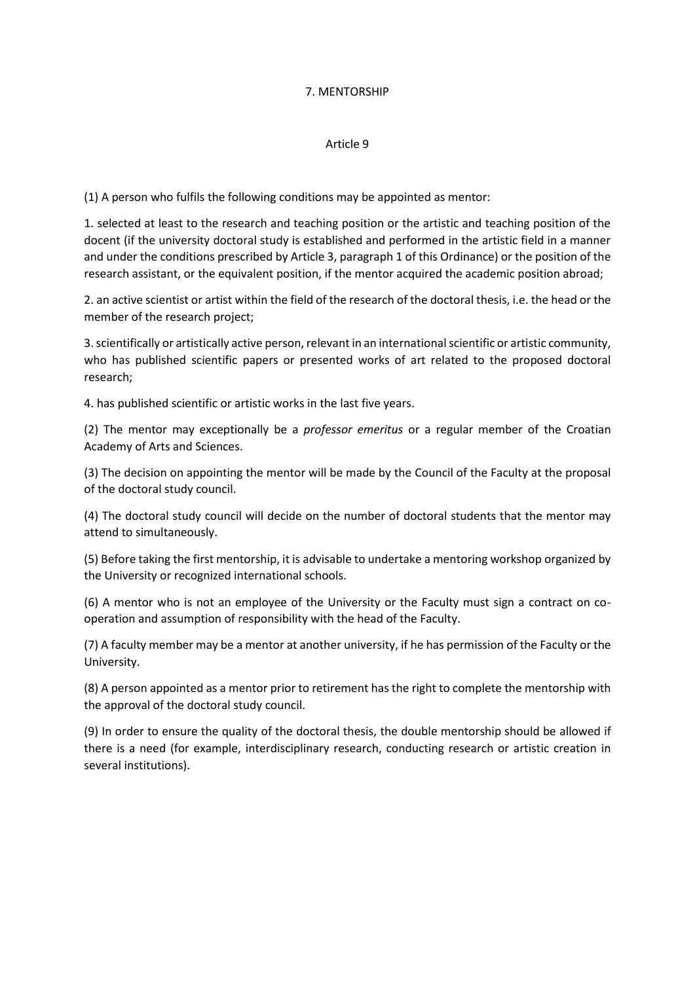### 7. MENTORSHIP

### Article 9

(1) A person who fulfils the following conditions may be appointed as mentor:

1. selected at least to the research and teaching position or the artistic and teaching position of the docent (if the university doctoral study is established and performed in the artistic field in a manner and under the conditions prescribed by Article 3, paragraph 1 of this Ordinance) or the position of the research assistant, or the equivalent position, if the mentor acquired the academic position abroad;

2. an active scientist or artist within the field of the research of the doctoral thesis, i.e. the head or the member of the research project;

3. scientifically or artistically active person, relevant in an international scientific or artistic community, who has published scientific papers or presented works of art related to the proposed doctoral research;

4. has published scientific or artistic works in the last five years.

(2) The mentor may exceptionally be a *professor emeritus* or a regular member of the Croatian Academy of Arts and Sciences.

(3) The decision on appointing the mentor will be made by the Council of the Faculty at the proposal of the doctoral study council.

(4) The doctoral study council will decide on the number of doctoral students that the mentor may attend to simultaneously.

(5) Before taking the first mentorship, it is advisable to undertake a mentoring workshop organized by the University or recognized international schools.

(6) A mentor who is not an employee of the University or the Faculty must sign a contract on cooperation and assumption of responsibility with the head of the Faculty.

(7) A faculty member may be a mentor at another university, if he has permission of the Faculty or the University.

(8) A person appointed as a mentor prior to retirement has the right to complete the mentorship with the approval of the doctoral study council.

(9) In order to ensure the quality of the doctoral thesis, the double mentorship should be allowed if there is a need (for example, interdisciplinary research, conducting research or artistic creation in several institutions).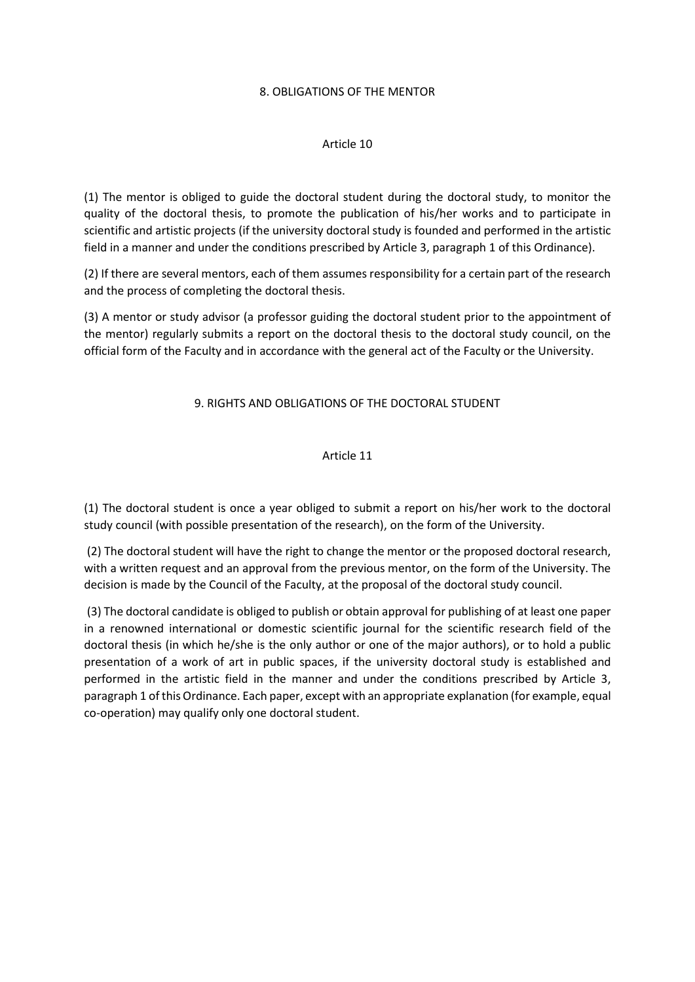#### 8. OBLIGATIONS OF THE MENTOR

#### Article 10

(1) The mentor is obliged to guide the doctoral student during the doctoral study, to monitor the quality of the doctoral thesis, to promote the publication of his/her works and to participate in scientific and artistic projects (if the university doctoral study is founded and performed in the artistic field in a manner and under the conditions prescribed by Article 3, paragraph 1 of this Ordinance).

(2) If there are several mentors, each of them assumes responsibility for a certain part of the research and the process of completing the doctoral thesis.

(3) A mentor or study advisor (a professor guiding the doctoral student prior to the appointment of the mentor) regularly submits a report on the doctoral thesis to the doctoral study council, on the official form of the Faculty and in accordance with the general act of the Faculty or the University.

#### 9. RIGHTS AND OBLIGATIONS OF THE DOCTORAL STUDENT

#### Article 11

(1) The doctoral student is once a year obliged to submit a report on his/her work to the doctoral study council (with possible presentation of the research), on the form of the University.

(2) The doctoral student will have the right to change the mentor or the proposed doctoral research, with a written request and an approval from the previous mentor, on the form of the University. The decision is made by the Council of the Faculty, at the proposal of the doctoral study council.

(3) The doctoral candidate is obliged to publish or obtain approval for publishing of at least one paper in a renowned international or domestic scientific journal for the scientific research field of the doctoral thesis (in which he/she is the only author or one of the major authors), or to hold a public presentation of a work of art in public spaces, if the university doctoral study is established and performed in the artistic field in the manner and under the conditions prescribed by Article 3, paragraph 1 of this Ordinance. Each paper, except with an appropriate explanation (for example, equal co-operation) may qualify only one doctoral student.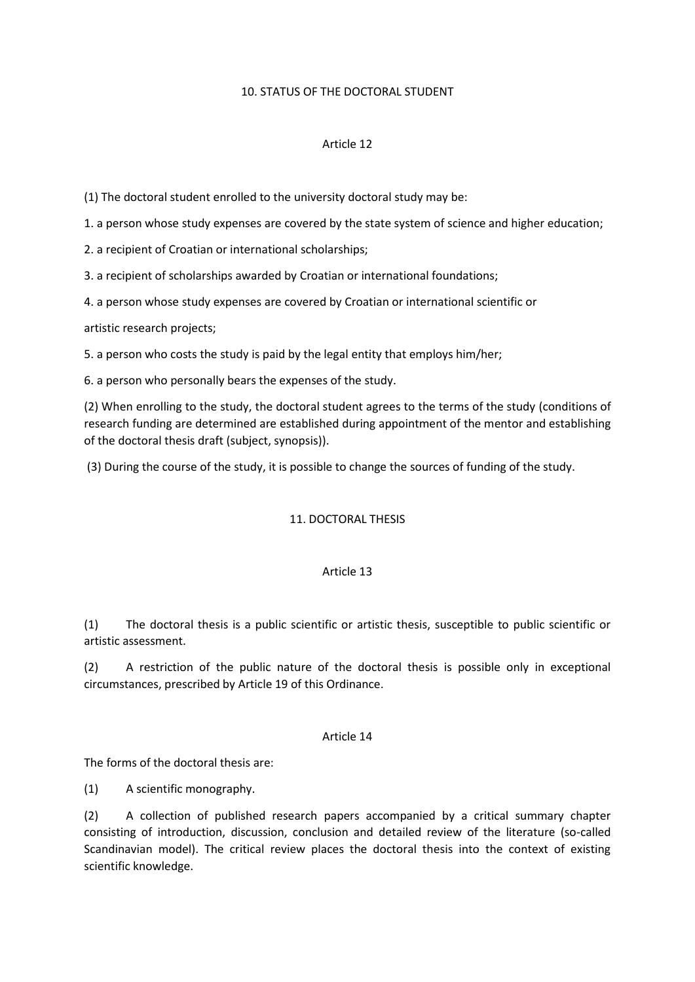#### 10. STATUS OF THE DOCTORAL STUDENT

### Article 12

(1) The doctoral student enrolled to the university doctoral study may be:

1. a person whose study expenses are covered by the state system of science and higher education;

2. a recipient of Croatian or international scholarships;

3. a recipient of scholarships awarded by Croatian or international foundations;

4. a person whose study expenses are covered by Croatian or international scientific or

artistic research projects;

5. a person who costs the study is paid by the legal entity that employs him/her;

6. a person who personally bears the expenses of the study.

(2) When enrolling to the study, the doctoral student agrees to the terms of the study (conditions of research funding are determined are established during appointment of the mentor and establishing of the doctoral thesis draft (subject, synopsis)).

(3) During the course of the study, it is possible to change the sources of funding of the study.

#### 11. DOCTORAL THESIS

#### Article 13

(1) The doctoral thesis is a public scientific or artistic thesis, susceptible to public scientific or artistic assessment.

(2) A restriction of the public nature of the doctoral thesis is possible only in exceptional circumstances, prescribed by Article 19 of this Ordinance.

#### Article 14

The forms of the doctoral thesis are:

(1) A scientific monography.

(2) A collection of published research papers accompanied by a critical summary chapter consisting of introduction, discussion, conclusion and detailed review of the literature (so-called Scandinavian model). The critical review places the doctoral thesis into the context of existing scientific knowledge.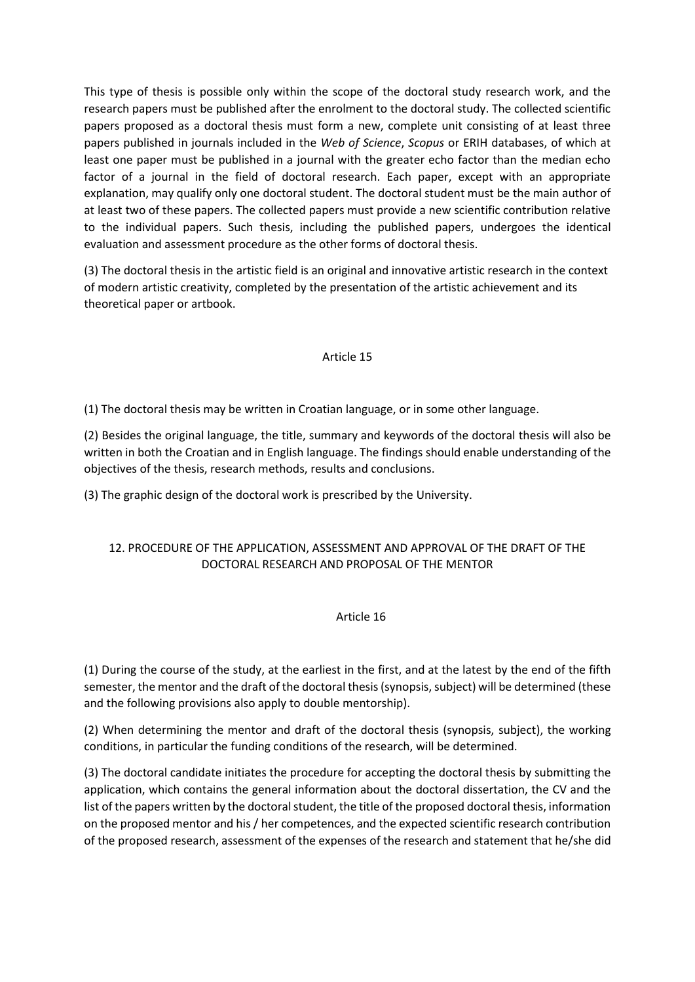This type of thesis is possible only within the scope of the doctoral study research work, and the research papers must be published after the enrolment to the doctoral study. The collected scientific papers proposed as a doctoral thesis must form a new, complete unit consisting of at least three papers published in journals included in the *Web of Science*, *Scopus* or ERIH databases, of which at least one paper must be published in a journal with the greater echo factor than the median echo factor of a journal in the field of doctoral research. Each paper, except with an appropriate explanation, may qualify only one doctoral student. The doctoral student must be the main author of at least two of these papers. The collected papers must provide a new scientific contribution relative to the individual papers. Such thesis, including the published papers, undergoes the identical evaluation and assessment procedure as the other forms of doctoral thesis.

(3) The doctoral thesis in the artistic field is an original and innovative artistic research in the context of modern artistic creativity, completed by the presentation of the artistic achievement and its theoretical paper or artbook.

#### Article 15

(1) The doctoral thesis may be written in Croatian language, or in some other language.

(2) Besides the original language, the title, summary and keywords of the doctoral thesis will also be written in both the Croatian and in English language. The findings should enable understanding of the objectives of the thesis, research methods, results and conclusions.

(3) The graphic design of the doctoral work is prescribed by the University.

# 12. PROCEDURE OF THE APPLICATION, ASSESSMENT AND APPROVAL OF THE DRAFT OF THE DOCTORAL RESEARCH AND PROPOSAL OF THE MENTOR

#### Article 16

(1) During the course of the study, at the earliest in the first, and at the latest by the end of the fifth semester, the mentor and the draft of the doctoral thesis(synopsis, subject) will be determined (these and the following provisions also apply to double mentorship).

(2) When determining the mentor and draft of the doctoral thesis (synopsis, subject), the working conditions, in particular the funding conditions of the research, will be determined.

(3) The doctoral candidate initiates the procedure for accepting the doctoral thesis by submitting the application, which contains the general information about the doctoral dissertation, the CV and the list of the papers written by the doctoral student, the title of the proposed doctoral thesis, information on the proposed mentor and his / her competences, and the expected scientific research contribution of the proposed research, assessment of the expenses of the research and statement that he/she did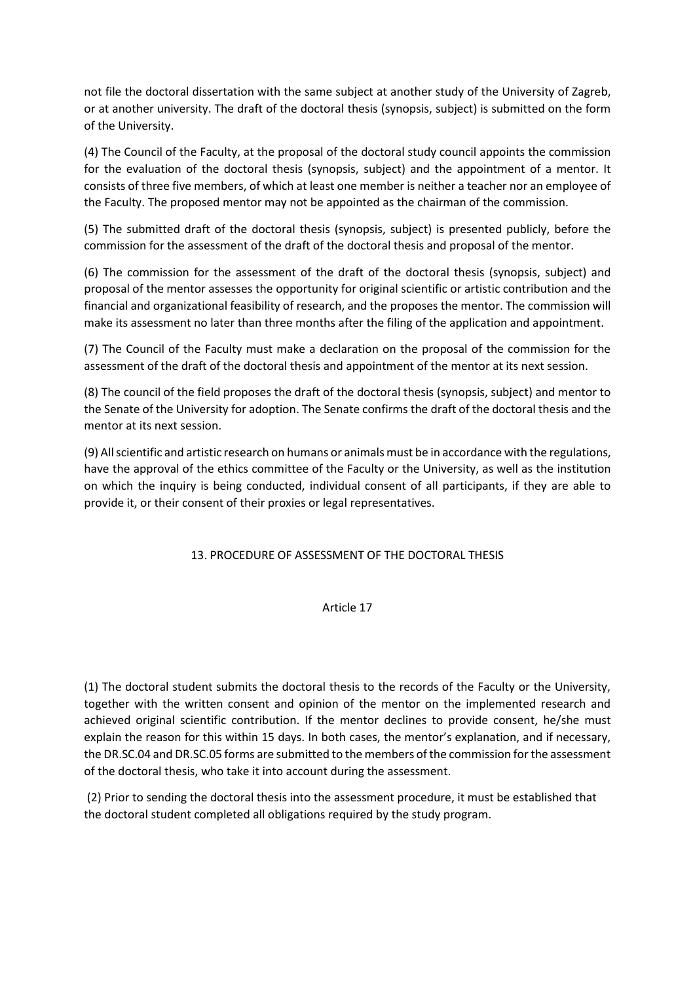not file the doctoral dissertation with the same subject at another study of the University of Zagreb, or at another university. The draft of the doctoral thesis (synopsis, subject) is submitted on the form of the University.

(4) The Council of the Faculty, at the proposal of the doctoral study council appoints the commission for the evaluation of the doctoral thesis (synopsis, subject) and the appointment of a mentor. It consists of three five members, of which at least one member is neither a teacher nor an employee of the Faculty. The proposed mentor may not be appointed as the chairman of the commission.

(5) The submitted draft of the doctoral thesis (synopsis, subject) is presented publicly, before the commission for the assessment of the draft of the doctoral thesis and proposal of the mentor.

(6) The commission for the assessment of the draft of the doctoral thesis (synopsis, subject) and proposal of the mentor assesses the opportunity for original scientific or artistic contribution and the financial and organizational feasibility of research, and the proposes the mentor. The commission will make its assessment no later than three months after the filing of the application and appointment.

(7) The Council of the Faculty must make a declaration on the proposal of the commission for the assessment of the draft of the doctoral thesis and appointment of the mentor at its next session.

(8) The council of the field proposes the draft of the doctoral thesis (synopsis, subject) and mentor to the Senate of the University for adoption. The Senate confirms the draft of the doctoral thesis and the mentor at its next session.

(9) All scientific and artistic research on humans or animals must be in accordance with the regulations, have the approval of the ethics committee of the Faculty or the University, as well as the institution on which the inquiry is being conducted, individual consent of all participants, if they are able to provide it, or their consent of their proxies or legal representatives.

## 13. PROCEDURE OF ASSESSMENT OF THE DOCTORAL THESIS

## Article 17

(1) The doctoral student submits the doctoral thesis to the records of the Faculty or the University, together with the written consent and opinion of the mentor on the implemented research and achieved original scientific contribution. If the mentor declines to provide consent, he/she must explain the reason for this within 15 days. In both cases, the mentor's explanation, and if necessary, the DR.SC.04 and DR.SC.05 forms are submitted to the members of the commission for the assessment of the doctoral thesis, who take it into account during the assessment.

(2) Prior to sending the doctoral thesis into the assessment procedure, it must be established that the doctoral student completed all obligations required by the study program.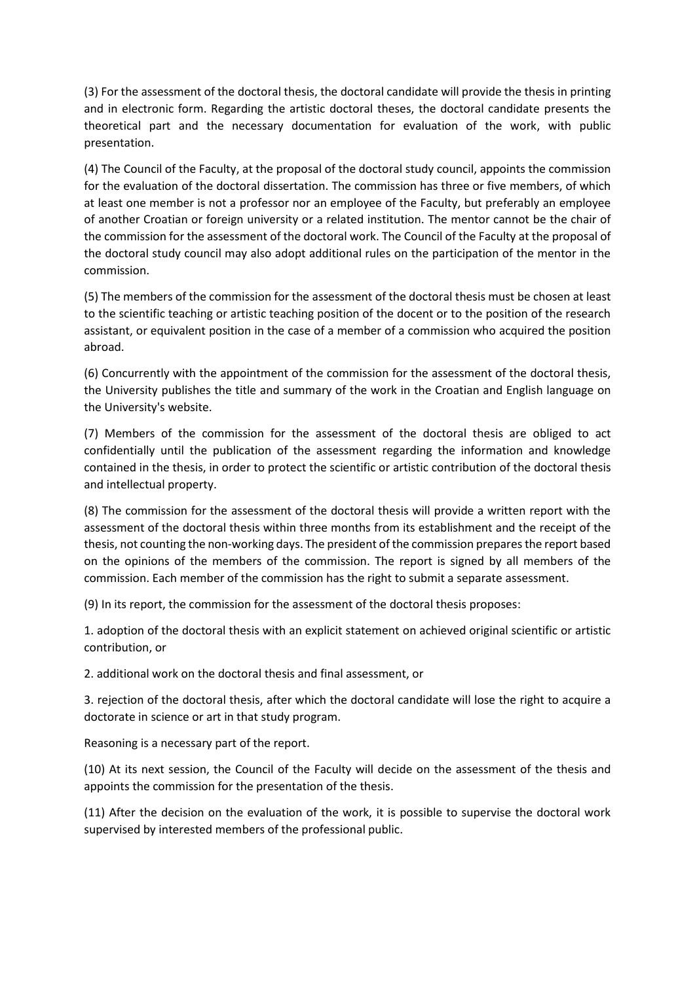(3) For the assessment of the doctoral thesis, the doctoral candidate will provide the thesis in printing and in electronic form. Regarding the artistic doctoral theses, the doctoral candidate presents the theoretical part and the necessary documentation for evaluation of the work, with public presentation.

(4) The Council of the Faculty, at the proposal of the doctoral study council, appoints the commission for the evaluation of the doctoral dissertation. The commission has three or five members, of which at least one member is not a professor nor an employee of the Faculty, but preferably an employee of another Croatian or foreign university or a related institution. The mentor cannot be the chair of the commission for the assessment of the doctoral work. The Council of the Faculty at the proposal of the doctoral study council may also adopt additional rules on the participation of the mentor in the commission.

(5) The members of the commission for the assessment of the doctoral thesis must be chosen at least to the scientific teaching or artistic teaching position of the docent or to the position of the research assistant, or equivalent position in the case of a member of a commission who acquired the position abroad.

(6) Concurrently with the appointment of the commission for the assessment of the doctoral thesis, the University publishes the title and summary of the work in the Croatian and English language on the University's website.

(7) Members of the commission for the assessment of the doctoral thesis are obliged to act confidentially until the publication of the assessment regarding the information and knowledge contained in the thesis, in order to protect the scientific or artistic contribution of the doctoral thesis and intellectual property.

(8) The commission for the assessment of the doctoral thesis will provide a written report with the assessment of the doctoral thesis within three months from its establishment and the receipt of the thesis, not counting the non-working days. The president of the commission prepares the report based on the opinions of the members of the commission. The report is signed by all members of the commission. Each member of the commission has the right to submit a separate assessment.

(9) In its report, the commission for the assessment of the doctoral thesis proposes:

1. adoption of the doctoral thesis with an explicit statement on achieved original scientific or artistic contribution, or

2. additional work on the doctoral thesis and final assessment, or

3. rejection of the doctoral thesis, after which the doctoral candidate will lose the right to acquire a doctorate in science or art in that study program.

Reasoning is a necessary part of the report.

(10) At its next session, the Council of the Faculty will decide on the assessment of the thesis and appoints the commission for the presentation of the thesis.

(11) After the decision on the evaluation of the work, it is possible to supervise the doctoral work supervised by interested members of the professional public.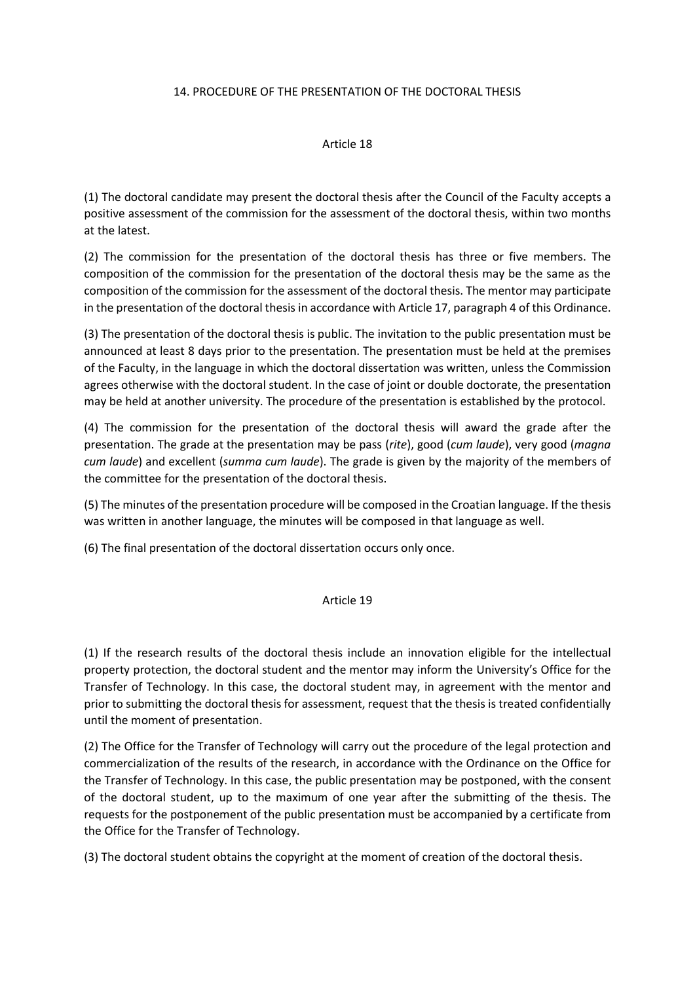#### 14. PROCEDURE OF THE PRESENTATION OF THE DOCTORAL THESIS

### Article 18

(1) The doctoral candidate may present the doctoral thesis after the Council of the Faculty accepts a positive assessment of the commission for the assessment of the doctoral thesis, within two months at the latest.

(2) The commission for the presentation of the doctoral thesis has three or five members. The composition of the commission for the presentation of the doctoral thesis may be the same as the composition of the commission for the assessment of the doctoral thesis. The mentor may participate in the presentation of the doctoral thesis in accordance with Article 17, paragraph 4 of this Ordinance.

(3) The presentation of the doctoral thesis is public. The invitation to the public presentation must be announced at least 8 days prior to the presentation. The presentation must be held at the premises of the Faculty, in the language in which the doctoral dissertation was written, unless the Commission agrees otherwise with the doctoral student. In the case of joint or double doctorate, the presentation may be held at another university. The procedure of the presentation is established by the protocol.

(4) The commission for the presentation of the doctoral thesis will award the grade after the presentation. The grade at the presentation may be pass (*rite*), good (*cum laude*), very good (*magna cum laude*) and excellent (*summa cum laude*). The grade is given by the majority of the members of the committee for the presentation of the doctoral thesis.

(5) The minutes of the presentation procedure will be composed in the Croatian language. If the thesis was written in another language, the minutes will be composed in that language as well.

(6) The final presentation of the doctoral dissertation occurs only once.

## Article 19

(1) If the research results of the doctoral thesis include an innovation eligible for the intellectual property protection, the doctoral student and the mentor may inform the University's Office for the Transfer of Technology. In this case, the doctoral student may, in agreement with the mentor and prior to submitting the doctoral thesis for assessment, request that the thesis is treated confidentially until the moment of presentation.

(2) The Office for the Transfer of Technology will carry out the procedure of the legal protection and commercialization of the results of the research, in accordance with the Ordinance on the Office for the Transfer of Technology. In this case, the public presentation may be postponed, with the consent of the doctoral student, up to the maximum of one year after the submitting of the thesis. The requests for the postponement of the public presentation must be accompanied by a certificate from the Office for the Transfer of Technology.

(3) The doctoral student obtains the copyright at the moment of creation of the doctoral thesis.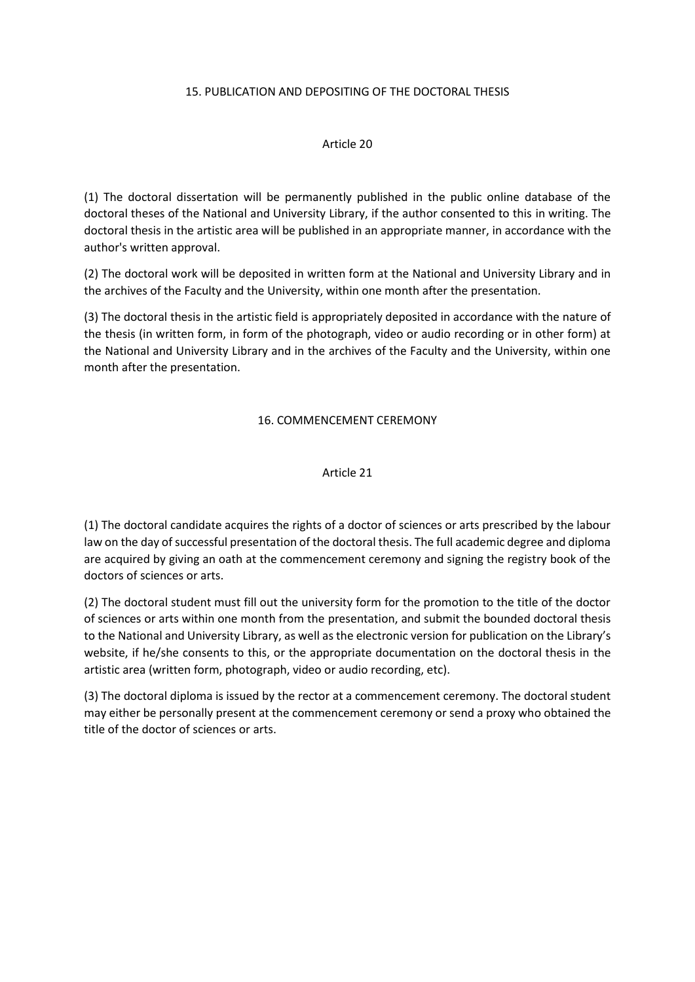### 15. PUBLICATION AND DEPOSITING OF THE DOCTORAL THESIS

### Article 20

(1) The doctoral dissertation will be permanently published in the public online database of the doctoral theses of the National and University Library, if the author consented to this in writing. The doctoral thesis in the artistic area will be published in an appropriate manner, in accordance with the author's written approval.

(2) The doctoral work will be deposited in written form at the National and University Library and in the archives of the Faculty and the University, within one month after the presentation.

(3) The doctoral thesis in the artistic field is appropriately deposited in accordance with the nature of the thesis (in written form, in form of the photograph, video or audio recording or in other form) at the National and University Library and in the archives of the Faculty and the University, within one month after the presentation.

## 16. COMMENCEMENT CEREMONY

### Article 21

(1) The doctoral candidate acquires the rights of a doctor of sciences or arts prescribed by the labour law on the day of successful presentation of the doctoral thesis. The full academic degree and diploma are acquired by giving an oath at the commencement ceremony and signing the registry book of the doctors of sciences or arts.

(2) The doctoral student must fill out the university form for the promotion to the title of the doctor of sciences or arts within one month from the presentation, and submit the bounded doctoral thesis to the National and University Library, as well as the electronic version for publication on the Library's website, if he/she consents to this, or the appropriate documentation on the doctoral thesis in the artistic area (written form, photograph, video or audio recording, etc).

(3) The doctoral diploma is issued by the rector at a commencement ceremony. The doctoral student may either be personally present at the commencement ceremony or send a proxy who obtained the title of the doctor of sciences or arts.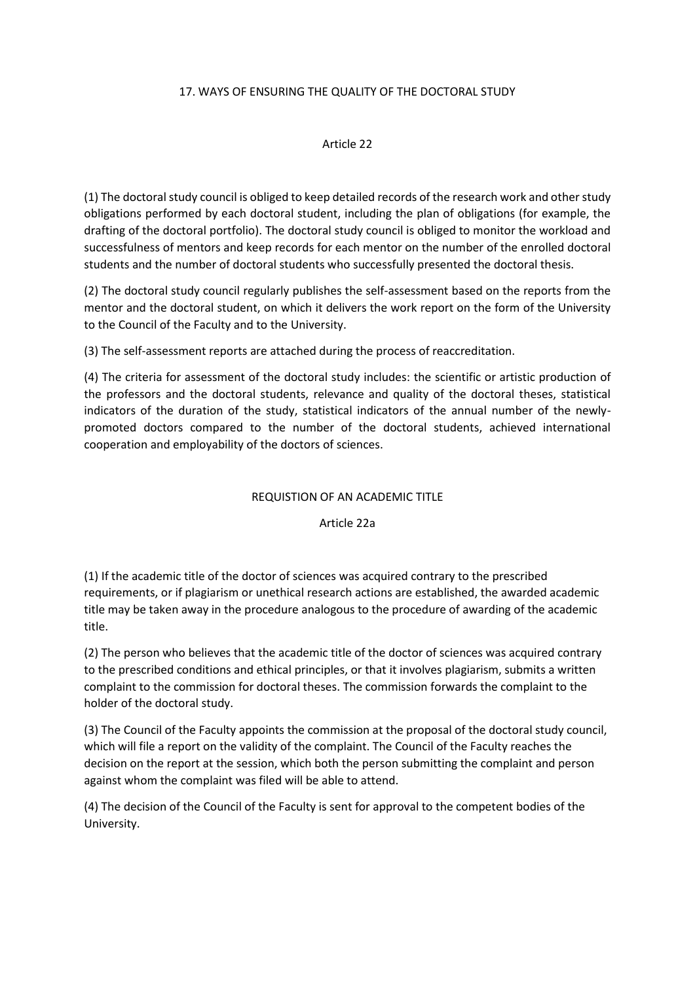### 17. WAYS OF ENSURING THE QUALITY OF THE DOCTORAL STUDY

### Article 22

(1) The doctoral study council is obliged to keep detailed records of the research work and other study obligations performed by each doctoral student, including the plan of obligations (for example, the drafting of the doctoral portfolio). The doctoral study council is obliged to monitor the workload and successfulness of mentors and keep records for each mentor on the number of the enrolled doctoral students and the number of doctoral students who successfully presented the doctoral thesis.

(2) The doctoral study council regularly publishes the self-assessment based on the reports from the mentor and the doctoral student, on which it delivers the work report on the form of the University to the Council of the Faculty and to the University.

(3) The self-assessment reports are attached during the process of reaccreditation.

(4) The criteria for assessment of the doctoral study includes: the scientific or artistic production of the professors and the doctoral students, relevance and quality of the doctoral theses, statistical indicators of the duration of the study, statistical indicators of the annual number of the newlypromoted doctors compared to the number of the doctoral students, achieved international cooperation and employability of the doctors of sciences.

## REQUISTION OF AN ACADEMIC TITLE

Article 22a

(1) If the academic title of the doctor of sciences was acquired contrary to the prescribed requirements, or if plagiarism or unethical research actions are established, the awarded academic title may be taken away in the procedure analogous to the procedure of awarding of the academic title.

(2) The person who believes that the academic title of the doctor of sciences was acquired contrary to the prescribed conditions and ethical principles, or that it involves plagiarism, submits a written complaint to the commission for doctoral theses. The commission forwards the complaint to the holder of the doctoral study.

(3) The Council of the Faculty appoints the commission at the proposal of the doctoral study council, which will file a report on the validity of the complaint. The Council of the Faculty reaches the decision on the report at the session, which both the person submitting the complaint and person against whom the complaint was filed will be able to attend.

(4) The decision of the Council of the Faculty is sent for approval to the competent bodies of the University.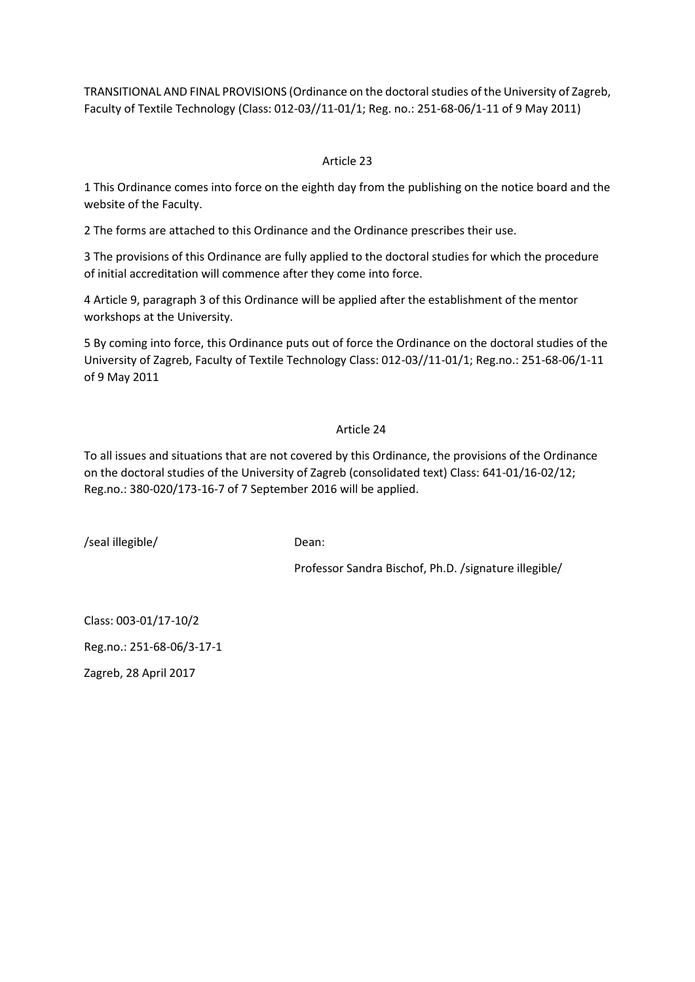TRANSITIONAL AND FINAL PROVISIONS (Ordinance on the doctoral studies of the University of Zagreb, Faculty of Textile Technology (Class: 012-03//11-01/1; Reg. no.: 251-68-06/1-11 of 9 May 2011)

### Article 23

1 This Ordinance comes into force on the eighth day from the publishing on the notice board and the website of the Faculty.

2 The forms are attached to this Ordinance and the Ordinance prescribes their use.

3 The provisions of this Ordinance are fully applied to the doctoral studies for which the procedure of initial accreditation will commence after they come into force.

4 Article 9, paragraph 3 of this Ordinance will be applied after the establishment of the mentor workshops at the University.

5 By coming into force, this Ordinance puts out of force the Ordinance on the doctoral studies of the University of Zagreb, Faculty of Textile Technology Class: 012-03//11-01/1; Reg.no.: 251-68-06/1-11 of 9 May 2011

### Article 24

To all issues and situations that are not covered by this Ordinance, the provisions of the Ordinance on the doctoral studies of the University of Zagreb (consolidated text) Class: 641-01/16-02/12; Reg.no.: 380-020/173-16-7 of 7 September 2016 will be applied.

/seal illegible/ Dean:

Professor Sandra Bischof, Ph.D. /signature illegible/

Class: 003-01/17-10/2

Reg.no.: 251-68-06/3-17-1

Zagreb, 28 April 2017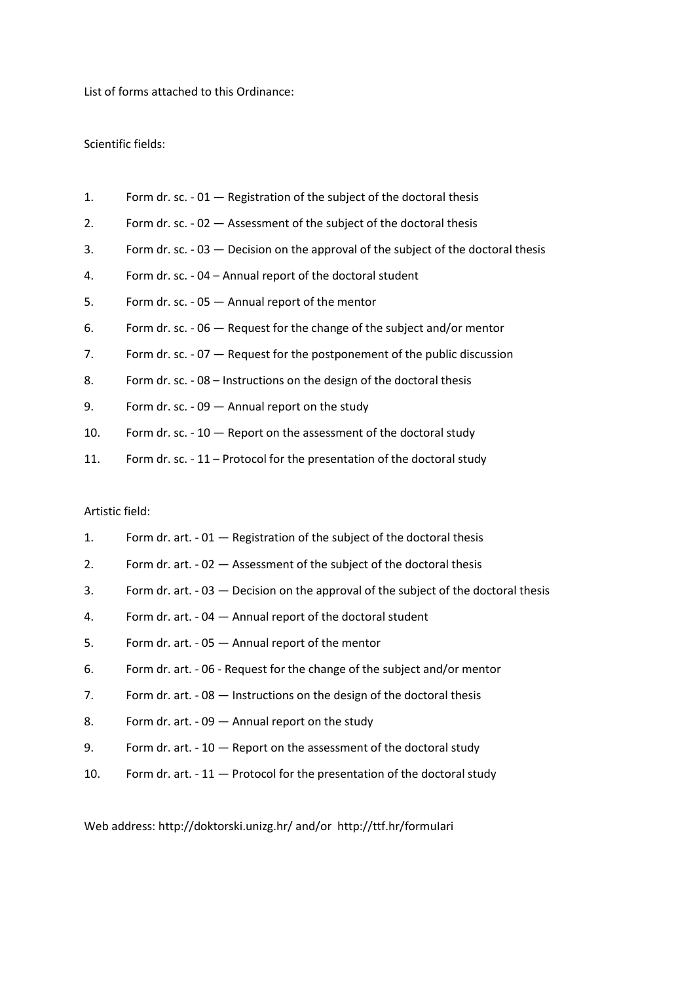List of forms attached to this Ordinance:

#### Scientific fields:

- 1. Form dr. sc. 01 Registration of the subject of the doctoral thesis
- 2. Form dr. sc. 02 Assessment of the subject of the doctoral thesis
- 3. Form dr. sc. 03 Decision on the approval of the subject of the doctoral thesis
- 4. Form dr. sc. 04 Annual report of the doctoral student
- 5. Form dr. sc. 05 Annual report of the mentor
- 6. Form dr. sc. 06 Request for the change of the subject and/or mentor
- 7. Form dr. sc. 07 Request for the postponement of the public discussion
- 8. Form dr. sc. 08 Instructions on the design of the doctoral thesis
- 9. Form dr. sc. 09 Annual report on the study
- 10. Form dr. sc. 10 Report on the assessment of the doctoral study
- 11. Form dr. sc. 11 Protocol for the presentation of the doctoral study

#### Artistic field:

- 1. Form dr. art. 01 Registration of the subject of the doctoral thesis
- 2. Form dr. art. 02 Assessment of the subject of the doctoral thesis
- 3. Form dr. art. 03 Decision on the approval of the subject of the doctoral thesis
- 4. Form dr. art. 04 Annual report of the doctoral student
- 5. Form dr. art. 05 Annual report of the mentor
- 6. Form dr. art. 06 Request for the change of the subject and/or mentor
- 7. Form dr. art. 08 Instructions on the design of the doctoral thesis
- 8. Form dr. art. 09 Annual report on the study
- 9. Form dr. art. 10 Report on the assessment of the doctoral study
- 10. Form dr. art. 11 Protocol for the presentation of the doctoral study

Web address: http://doktorski.unizg.hr/ and/or http://ttf.hr/formulari